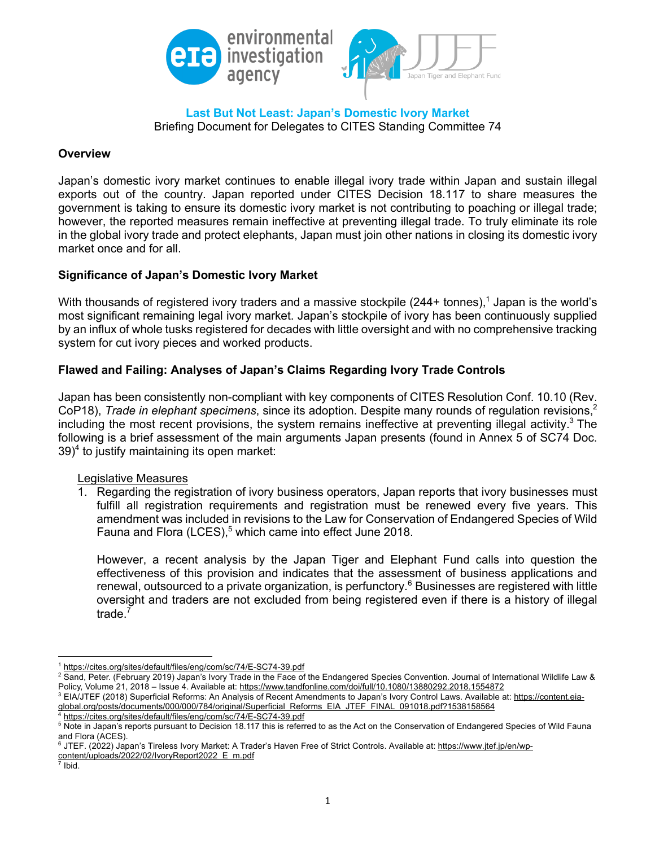

**Last But Not Least: Japan's Domestic Ivory Market** Briefing Document for Delegates to CITES Standing Committee 74

### **Overview**

Japan's domestic ivory market continues to enable illegal ivory trade within Japan and sustain illegal exports out of the country. Japan reported under CITES Decision 18.117 to share measures the government is taking to ensure its domestic ivory market is not contributing to poaching or illegal trade; however, the reported measures remain ineffective at preventing illegal trade. To truly eliminate its role in the global ivory trade and protect elephants, Japan must join other nations in closing its domestic ivory market once and for all.

# **Significance of Japan's Domestic Ivory Market**

With thousands of registered ivory traders and a massive stockpile (244+ tonnes),<sup>1</sup> Japan is the world's most significant remaining legal ivory market. Japan's stockpile of ivory has been continuously supplied by an influx of whole tusks registered for decades with little oversight and with no comprehensive tracking system for cut ivory pieces and worked products.

# **Flawed and Failing: Analyses of Japan's Claims Regarding Ivory Trade Controls**

Japan has been consistently non-compliant with key components of CITES Resolution Conf. 10.10 (Rev. CoP18), *Trade in elephant specimens*, since its adoption. Despite many rounds of regulation revisions,<sup>2</sup> including the most recent provisions, the system remains ineffective at preventing illegal activity. $3$  The following is a brief assessment of the main arguments Japan presents (found in Annex 5 of SC74 Doc.  $39)^4$  to justify maintaining its open market:

#### Legislative Measures

1. Regarding the registration of ivory business operators, Japan reports that ivory businesses must fulfill all registration requirements and registration must be renewed every five years. This amendment was included in revisions to the Law for Conservation of Endangered Species of Wild Fauna and Flora (LCES),<sup>5</sup> which came into effect June 2018.

However, a recent analysis by the Japan Tiger and Elephant Fund calls into question the effectiveness of this provision and indicates that the assessment of business applications and renewal, outsourced to a private organization, is perfunctory.<sup>6</sup> Businesses are registered with little oversight and traders are not excluded from being registered even if there is a history of illegal trade. $<sup>7</sup>$ </sup>

https://cites.org/sites/default/files/eng/com/sc/74/E-SC74-39.pdf

https://cites.org/sites/default/files/eng/com/sc/74/E-SC74-39.pdf

<sup>&</sup>lt;sup>2</sup> Sand, Peter. (February 2019) Japan's Ivory Trade in the Face of the Endangered Species Convention. Journal of International Wildlife Law & Policy, Volume 21, 2018 – Issue 4. Available at: https://www.tandfonline.com/doi/full/10.1080/13880292.2018.1554872

<sup>&</sup>lt;sup>3</sup> EIA/JTEF (2018) Superficial Reforms: An Analysis of Recent Amendments to Japan's Ivory Control Laws. Available at: https://content.eiaglobal.org/posts/documents/000/000/784/original/Superficial\_Reforms\_EIA\_JTEF\_FINAL\_091018.pdf?1538158564

<sup>&</sup>lt;sup>5</sup> Note in Japan's reports pursuant to Decision 18.117 this is referred to as the Act on the Conservation of Endangered Species of Wild Fauna and Flora (ACES).

<sup>&</sup>lt;sup>6</sup> JTEF. (2022) Japan's Tireless Ivory Market: A Trader's Haven Free of Strict Controls. Available at: https://www.jtef.jp/en/wp-

content/uploads/2022/02/IvoryReport2022\_E\_m.pdf

Ibid.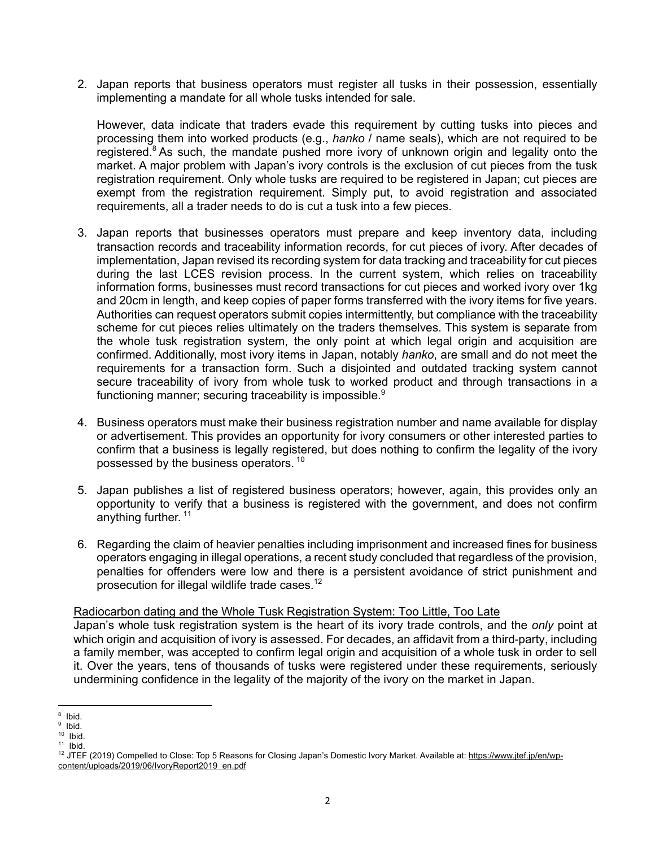2. Japan reports that business operators must register all tusks in their possession, essentially implementing a mandate for all whole tusks intended for sale.

However, data indicate that traders evade this requirement by cutting tusks into pieces and processing them into worked products (e.g., *hanko* / name seals), which are not required to be registered.<sup>8</sup> As such, the mandate pushed more ivory of unknown origin and legality onto the market. A major problem with Japan's ivory controls is the exclusion of cut pieces from the tusk registration requirement. Only whole tusks are required to be registered in Japan; cut pieces are exempt from the registration requirement. Simply put, to avoid registration and associated requirements, all a trader needs to do is cut a tusk into a few pieces.

- 3. Japan reports that businesses operators must prepare and keep inventory data, including transaction records and traceability information records, for cut pieces of ivory. After decades of implementation, Japan revised its recording system for data tracking and traceability for cut pieces during the last LCES revision process. In the current system, which relies on traceability information forms, businesses must record transactions for cut pieces and worked ivory over 1kg and 20cm in length, and keep copies of paper forms transferred with the ivory items for five years. Authorities can request operators submit copies intermittently, but compliance with the traceability scheme for cut pieces relies ultimately on the traders themselves. This system is separate from the whole tusk registration system, the only point at which legal origin and acquisition are confirmed. Additionally, most ivory items in Japan, notably *hanko*, are small and do not meet the requirements for a transaction form. Such a disjointed and outdated tracking system cannot secure traceability of ivory from whole tusk to worked product and through transactions in a functioning manner; securing traceability is impossible.<sup>9</sup>
- 4. Business operators must make their business registration number and name available for display or advertisement. This provides an opportunity for ivory consumers or other interested parties to confirm that a business is legally registered, but does nothing to confirm the legality of the ivory possessed by the business operators. <sup>10</sup>
- 5. Japan publishes a list of registered business operators; however, again, this provides only an opportunity to verify that a business is registered with the government, and does not confirm anything further. <sup>11</sup>
- 6. Regarding the claim of heavier penalties including imprisonment and increased fines for business operators engaging in illegal operations, a recent study concluded that regardless of the provision, penalties for offenders were low and there is a persistent avoidance of strict punishment and prosecution for illegal wildlife trade cases. $12$

#### Radiocarbon dating and the Whole Tusk Registration System: Too Little, Too Late

Japan's whole tusk registration system is the heart of its ivory trade controls, and the *only* point at which origin and acquisition of ivory is assessed. For decades, an affidavit from a third-party, including a family member, was accepted to confirm legal origin and acquisition of a whole tusk in order to sell it. Over the years, tens of thousands of tusks were registered under these requirements, seriously undermining confidence in the legality of the majority of the ivory on the market in Japan.

Ibid.

 $\frac{9}{10}$  Ibid.

Ibid.

 $11$  Ibid.

<sup>&</sup>lt;sup>12</sup> JTEF (2019) Compelled to Close: Top 5 Reasons for Closing Japan's Domestic Ivory Market. Available at: https://www.jtef.jp/en/wpcontent/uploads/2019/06/IvoryReport2019\_en.pdf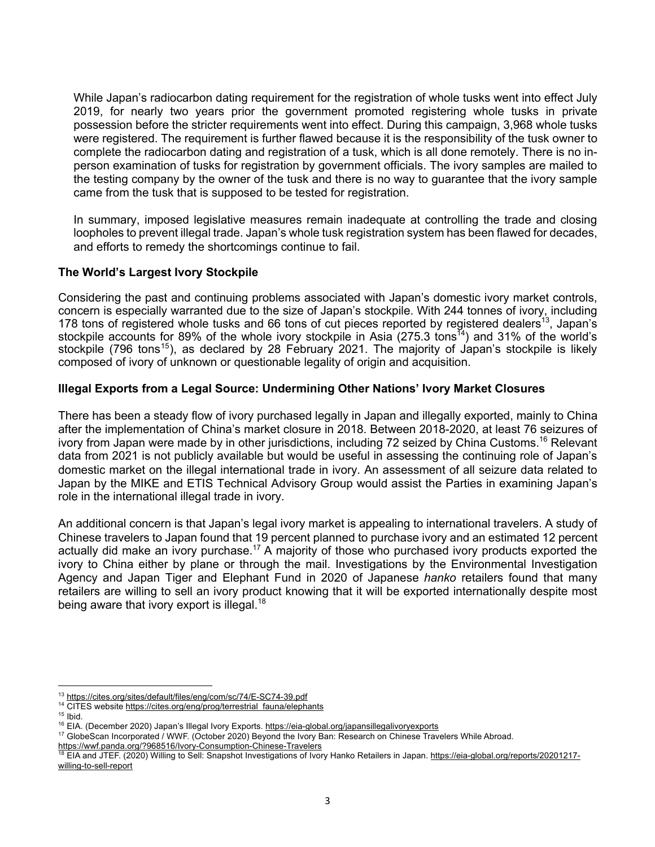While Japan's radiocarbon dating requirement for the registration of whole tusks went into effect July 2019, for nearly two years prior the government promoted registering whole tusks in private possession before the stricter requirements went into effect. During this campaign, 3,968 whole tusks were registered. The requirement is further flawed because it is the responsibility of the tusk owner to complete the radiocarbon dating and registration of a tusk, which is all done remotely. There is no inperson examination of tusks for registration by government officials. The ivory samples are mailed to the testing company by the owner of the tusk and there is no way to guarantee that the ivory sample came from the tusk that is supposed to be tested for registration.

In summary, imposed legislative measures remain inadequate at controlling the trade and closing loopholes to prevent illegal trade. Japan's whole tusk registration system has been flawed for decades, and efforts to remedy the shortcomings continue to fail.

### **The World's Largest Ivory Stockpile**

Considering the past and continuing problems associated with Japan's domestic ivory market controls, concern is especially warranted due to the size of Japan's stockpile. With 244 tonnes of ivory, including 178 tons of registered whole tusks and 66 tons of cut pieces reported by registered dealers<sup>13</sup>, Japan's stockpile accounts for 89% of the whole ivory stockpile in Asia  $(275.3 \text{ tons}^{14})$  and 31% of the world's stockpile (796 tons<sup>15</sup>), as declared by 28 February 2021. The majority of Japan's stockpile is likely composed of ivory of unknown or questionable legality of origin and acquisition.

### **Illegal Exports from a Legal Source: Undermining Other Nations' Ivory Market Closures**

There has been a steady flow of ivory purchased legally in Japan and illegally exported, mainly to China after the implementation of China's market closure in 2018. Between 2018-2020, at least 76 seizures of ivory from Japan were made by in other jurisdictions, including 72 seized by China Customs.<sup>16</sup> Relevant data from 2021 is not publicly available but would be useful in assessing the continuing role of Japan's domestic market on the illegal international trade in ivory. An assessment of all seizure data related to Japan by the MIKE and ETIS Technical Advisory Group would assist the Parties in examining Japan's role in the international illegal trade in ivory.

An additional concern is that Japan's legal ivory market is appealing to international travelers. A study of Chinese travelers to Japan found that 19 percent planned to purchase ivory and an estimated 12 percent actually did make an ivory purchase.<sup>17</sup> A majority of those who purchased ivory products exported the ivory to China either by plane or through the mail. Investigations by the Environmental Investigation Agency and Japan Tiger and Elephant Fund in 2020 of Japanese *hanko* retailers found that many retailers are willing to sell an ivory product knowing that it will be exported internationally despite most being aware that ivory export is illegal.<sup>18</sup>

<sup>13</sup> https://cites.org/sites/default/files/eng/com/sc/74/E-SC74-39.pdf

<sup>&</sup>lt;sup>14</sup> CITES website https://cites.org/eng/prog/terrestrial\_fauna/elephants

 $15$  Ibid.

<sup>&</sup>lt;sup>16</sup> EIA. (December 2020) Japan's Illegal Ivory Exports. https://eia-global.org/japansillegalivoryexports

<sup>&</sup>lt;sup>17</sup> GlobeScan Incorporated / WWF. (October 2020) Beyond the Ivory Ban: Research on Chinese Travelers While Abroad.

https://wwf.panda.org/?968516/Ivory-Consumption-Chinese-Travelers

<sup>&</sup>lt;sup>18</sup> EIA and JTEF. (2020) Willing to Sell: Snapshot Investigations of Ivory Hanko Retailers in Japan. https://eia-global.org/reports/20201217willing-to-sell-report